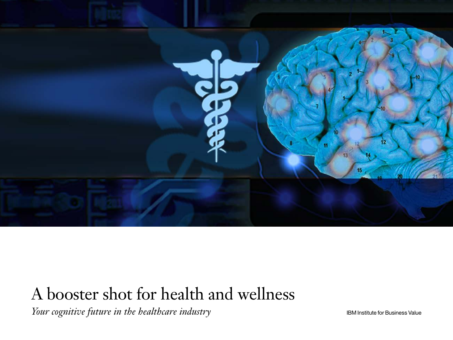

## A booster shot for health and wellness

*Your cognitive future in the healthcare industry*

IBM Institute for Business Value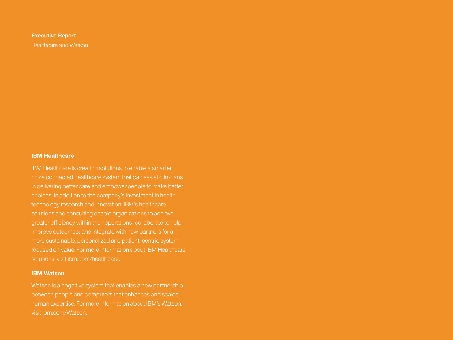#### **Executive Report**

Healthcare and Watson

#### **IBM Healthcare**

IBM Healthcare is creating solutions to enable a smarter, more connected healthcare system that can assist clinicians in delivering better care and empower people to make better technology research and innovation, IBM's healthcare solutions and consulting enable organizations to achieve greater efficiency within their operations; collaborate to help improve outcomes; and integrate with new partners for a more sustainable, personalized and patient-centric system focused on value. For more information about IBM Healthcare solutions, visit ibm.com/healthcare.

#### **IBM Watson**

Watson is a cognitive system that enables a new partnership human expertise. For more information about IBM's Watson, visit ibm.com/Watson.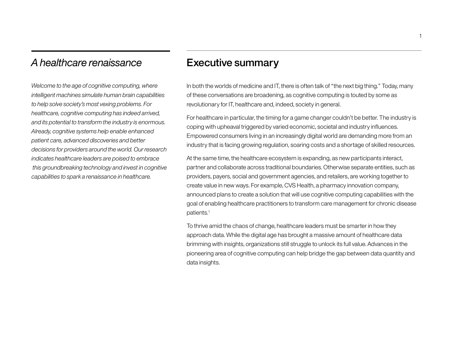## *A healthcare renaissance*

*Welcome to the age of cognitive computing, where intelligent machines simulate human brain capabilities to help solve society's most vexing problems. For healthcare, cognitive computing has indeed arrived, and its potential to transform the industry is enormous. Already, cognitive systems help enable enhanced patient care, advanced discoveries and better decisions for providers around the world. Our research indicates healthcare leaders are poised to embrace this groundbreaking technology and invest in cognitive capabilities to spark a renaissance in healthcare.*

### Executive summary

In both the worlds of medicine and IT, there is often talk of "the next big thing." Today, many of these conversations are broadening, as cognitive computing is touted by some as revolutionary for IT, healthcare and, indeed, society in general.

For healthcare in particular, the timing for a game changer couldn't be better. The industry is coping with upheaval triggered by varied economic, societal and industry influences. Empowered consumers living in an increasingly digital world are demanding more from an industry that is facing growing regulation, soaring costs and a shortage of skilled resources.

At the same time, the healthcare ecosystem is expanding, as new participants interact, partner and collaborate across traditional boundaries. Otherwise separate entities, such as providers, payers, social and government agencies, and retailers, are working together to create value in new ways. For example, CVS Health, a pharmacy innovation company, announced plans to create a solution that will use cognitive computing capabilities with the goal of enabling healthcare practitioners to transform care management for chronic disease patients.1

To thrive amid the chaos of change, healthcare leaders must be smarter in how they approach data. While the digital age has brought a massive amount of healthcare data brimming with insights, organizations still struggle to unlock its full value. Advances in the pioneering area of cognitive computing can help bridge the gap between data quantity and data insights.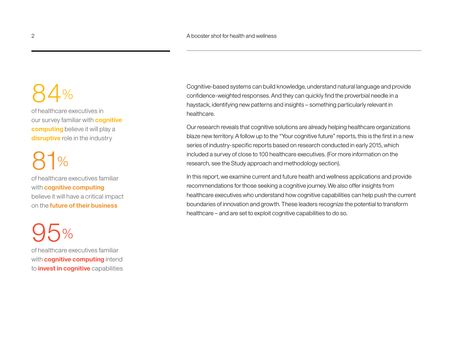## $34%$

of healthcare executives in our survey familiar with **cognitive computing** believe it will play a **disruptive** role in the industry

## $\frac{9}{6}$

of healthcare executives familiar with **cognitive computing** believe it will have a critical impact on the **future of their business**

## 95%

of healthcare executives familiar with **cognitive computing** intend to **invest in cognitive** capabilities

Cognitive-based systems can build knowledge, understand natural language and provide confidence-weighted responses. And they can quickly find the proverbial needle in a haystack, identifying new patterns and insights – something particularly relevant in healthcare.

Our research reveals that cognitive solutions are already helping healthcare organizations blaze new territory. A follow up to the "Your cognitive future" reports, this is the first in a new series of industry-specific reports based on research conducted in early 2015, which included a survey of close to 100 healthcare executives. (For more information on the research, see the Study approach and methodology section).

In this report, we examine current and future health and wellness applications and provide recommendations for those seeking a cognitive journey. We also offer insights from healthcare executives who understand how cognitive capabilities can help push the current boundaries of innovation and growth. These leaders recognize the potential to transform healthcare – and are set to exploit cognitive capabilities to do so.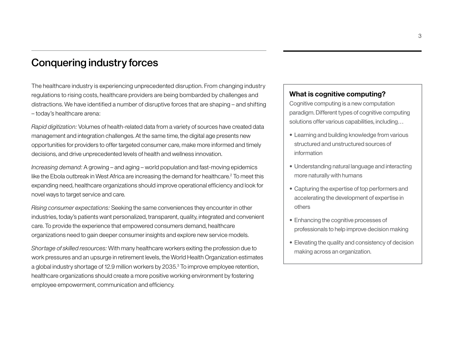## Conquering industry forces

The healthcare industry is experiencing unprecedented disruption. From changing industry regulations to rising costs, healthcare providers are being bombarded by challenges and distractions. We have identified a number of disruptive forces that are shaping – and shifting – today's healthcare arena:

*Rapid digitization:* Volumes of health-related data from a variety of sources have created data management and integration challenges. At the same time, the digital age presents new opportunities for providers to offer targeted consumer care, make more informed and timely decisions, and drive unprecedented levels of health and wellness innovation.

*Increasing demand:* A growing – and aging – world population and fast-moving epidemics like the Ebola outbreak in West Africa are increasing the demand for healthcare.<sup>2</sup> To meet this expanding need, healthcare organizations should improve operational efficiency and look for novel ways to target service and care.

*Rising consumer expectations:* Seeking the same conveniences they encounter in other industries, today's patients want personalized, transparent, quality, integrated and convenient care. To provide the experience that empowered consumers demand, healthcare organizations need to gain deeper consumer insights and explore new service models.

*Shortage of skilled resources:* With many healthcare workers exiting the profession due to work pressures and an upsurge in retirement levels, the World Health Organization estimates a global industry shortage of 12.9 million workers by 2035.3 To improve employee retention, healthcare organizations should create a more positive working environment by fostering employee empowerment, communication and efficiency.

#### **What is cognitive computing?**

Cognitive computing is a new computation paradigm. Different types of cognitive computing solutions offer various capabilities, including…

- Learning and building knowledge from various structured and unstructured sources of information
- Understanding natural language and interacting more naturally with humans
- Capturing the expertise of top performers and accelerating the development of expertise in others
- Enhancing the cognitive processes of professionals to help improve decision making
- Elevating the quality and consistency of decision making across an organization.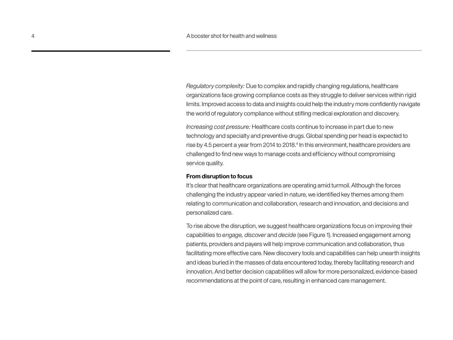*Regulatory complexity:* Due to complex and rapidly changing regulations, healthcare organizations face growing compliance costs as they struggle to deliver services within rigid limits. Improved access to data and insights could help the industry more confidently navigate the world of regulatory compliance without stifling medical exploration and discovery.

*Increasing cost pressure:* Healthcare costs continue to increase in part due to new technology and specialty and preventive drugs. Global spending per head is expected to rise by 4.5 percent a year from 2014 to 2018.<sup>4</sup> In this environment, healthcare providers are challenged to find new ways to manage costs and efficiency without compromising service quality.

#### **From disruption to focus**

It's clear that healthcare organizations are operating amid turmoil. Although the forces challenging the industry appear varied in nature, we identified key themes among them relating to communication and collaboration, research and innovation, and decisions and personalized care.

To rise above the disruption, we suggest healthcare organizations focus on improving their capabilities to *engage, discover* and *decide* (see Figure 1). Increased engagement among patients, providers and payers will help improve communication and collaboration, thus facilitating more effective care. New discovery tools and capabilities can help unearth insights and ideas buried in the masses of data encountered today, thereby facilitating research and innovation. And better decision capabilities will allow for more personalized, evidence-based recommendations at the point of care, resulting in enhanced care management.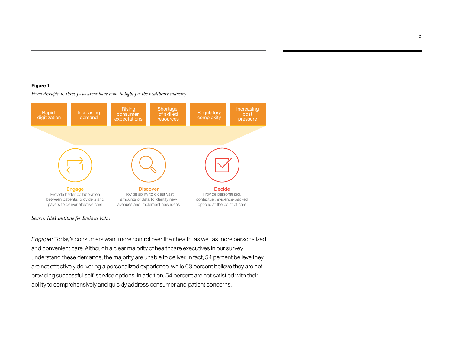#### **Figure 1**

digitization **Rising** expectations **Regulatory** complexity Increasing demand **Shortage** of skilled resources **Increasing** pressure **Discover** Provide ability to digest vast amounts of data to identify new avenues and implement new ideas Decide Provide personalized, contextual, evidence-backed options at the point of care Engage Provide better collaboration between patients, providers and payers to deliver effective care

*From disruption, three focus areas have come to light for the healthcare industry*

*Source: IBM Institute for Business Value.*

*Engage:* Today's consumers want more control over their health, as well as more personalized and convenient care. Although a clear majority of healthcare executives in our survey understand these demands, the majority are unable to deliver. In fact, 54 percent believe they are not effectively delivering a personalized experience, while 63 percent believe they are not providing successful self-service options. In addition, 54 percent are not satisfied with their ability to comprehensively and quickly address consumer and patient concerns.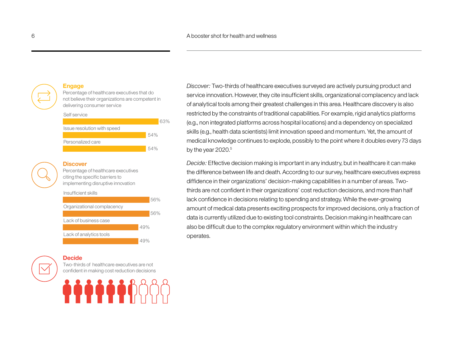#### **Engage**

Percentage of healthcare executives that do not believe their organizations are competent in delivering consumer service



### **Discover**

Percentage of healthcare executives citing the specific barriers to implementing disruptive innovation



#### **Decide**

Two-thirds of healthcare executives are not confident in making cost reduction decisions



*Discover:* Two-thirds of healthcare executives surveyed are actively pursuing product and service innovation. However, they cite insufficient skills, organizational complacency and lack of analytical tools among their greatest challenges in this area. Healthcare discovery is also restricted by the constraints of traditional capabilities. For example, rigid analytics platforms (e.g., non integrated platforms across hospital locations) and a dependency on specialized skills (e.g., health data scientists) limit innovation speed and momentum. Yet, the amount of medical knowledge continues to explode, possibly to the point where it doubles every 73 days by the year 2020.<sup>5</sup>

*Decide:* Effective decision making is important in any industry, but in healthcare it can make the difference between life and death. According to our survey, healthcare executives express diffidence in their organizations' decision-making capabilities in a number of areas. Twothirds are not confident in their organizations' cost reduction decisions, and more than half lack confidence in decisions relating to spending and strategy. While the ever-growing amount of medical data presents exciting prospects for improved decisions, only a fraction of data is currently utilized due to existing tool constraints. Decision making in healthcare can also be difficult due to the complex regulatory environment within which the industry operates.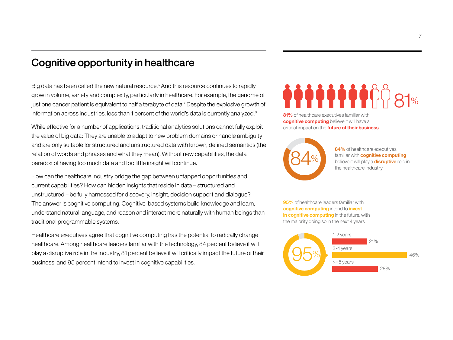## Cognitive opportunity in healthcare

Big data has been called the new natural resource.<sup>6</sup> And this resource continues to rapidly grow in volume, variety and complexity, particularly in healthcare. For example, the genome of just one cancer patient is equivalent to half a terabyte of data.<sup>7</sup> Despite the explosive growth of information across industries, less than 1 percent of the world's data is currently analyzed.<sup>8</sup>

While effective for a number of applications, traditional analytics solutions cannot fully exploit the value of big data: They are unable to adapt to new problem domains or handle ambiguity and are only suitable for structured and unstructured data with known, defined semantics (the relation of words and phrases and what they mean). Without new capabilities, the data paradox of having too much data and too little insight will continue.

How can the healthcare industry bridge the gap between untapped opportunities and current capabilities? How can hidden insights that reside in data – structured and unstructured – be fully harnessed for discovery, insight, decision support and dialogue? The answer is cognitive computing. Cognitive-based systems build knowledge and learn, understand natural language, and reason and interact more naturally with human beings than traditional programmable systems.

Healthcare executives agree that cognitive computing has the potential to radically change healthcare. Among healthcare leaders familiar with the technology, 84 percent believe it will play a disruptive role in the industry, 81 percent believe it will critically impact the future of their business, and 95 percent intend to invest in cognitive capabilities.

# 81%

**81%** of healthcare executives familiar with **cognitive computing** believe it will have a critical impact on the **future of their business**



**84%** of healthcare executives familiar with **cognitive computing**  believe it will play a **disruptive** role in the healthcare industry

**95%** of healthcare leaders familiar with **cognitive computing** intend to **invest in cognitive computing** in the future, with the majority doing so in the next 4 years

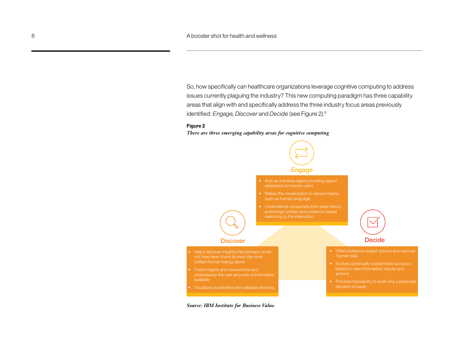So, how specifically can healthcare organizations leverage cognitive computing to address issues currently plaguing the industry? This new computing paradigm has three capability areas that align with and specifically address the three industry focus areas previously identified: *Engage, Discover* and *Decide* (see Figure 2).9

#### **Figure 2**

*There are three emerging capability areas for cognitive computing*



*Source: IBM Institute for Business Value.*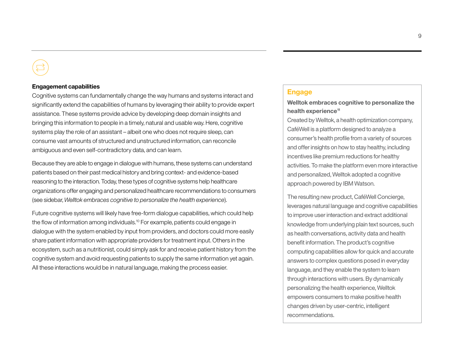#### **Engagement capabilities**

Cognitive systems can fundamentally change the way humans and systems interact and significantly extend the capabilities of humans by leveraging their ability to provide expert assistance. These systems provide advice by developing deep domain insights and bringing this information to people in a timely, natural and usable way. Here, cognitive systems play the role of an assistant – albeit one who does not require sleep, can consume vast amounts of structured and unstructured information, can reconcile ambiguous and even self-contradictory data, and can learn.

Because they are able to engage in dialogue with humans, these systems can understand patients based on their past medical history and bring context- and evidence-based reasoning to the interaction. Today, these types of cognitive systems help healthcare organizations offer engaging and personalized healthcare recommendations to consumers (see sidebar, *Welltok embraces cognitive to personalize the health experience*).

Future cognitive systems will likely have free-form dialogue capabilities, which could help the flow of information among individuals.10 For example, patients could engage in dialogue with the system enabled by input from providers, and doctors could more easily share patient information with appropriate providers for treatment input. Others in the ecosystem, such as a nutritionist, could simply ask for and receive patient history from the cognitive system and avoid requesting patients to supply the same information yet again. All these interactions would be in natural language, making the process easier.

#### **Engage**

#### **Welltok embraces cognitive to personalize the health experience11**

Created by Welltok, a health optimization company, CaféWell is a platform designed to analyze a consumer's health profile from a variety of sources and offer insights on how to stay healthy, including incentives like premium reductions for healthy activities. To make the platform even more interactive and personalized, Welltok adopted a cognitive approach powered by IBM Watson.

The resulting new product, CaféWell Concierge, leverages natural language and cognitive capabilities to improve user interaction and extract additional knowledge from underlying plain text sources, such as health conversations, activity data and health benefit information. The product's cognitive computing capabilities allow for quick and accurate answers to complex questions posed in everyday language, and they enable the system to learn through interactions with users. By dynamically personalizing the health experience, Welltok empowers consumers to make positive health changes driven by user-centric, intelligent recommendations.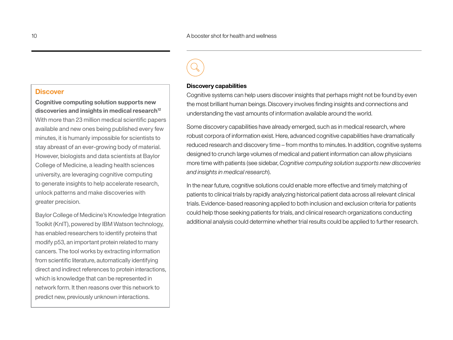#### **Discover**

**Cognitive computing solution supports new**  discoveries and insights in medical research<sup>12</sup> With more than 23 million medical scientific papers available and new ones being published every few minutes, it is humanly impossible for scientists to stay abreast of an ever-growing body of material. However, biologists and data scientists at Baylor College of Medicine, a leading health sciences university, are leveraging cognitive computing to generate insights to help accelerate research, unlock patterns and make discoveries with greater precision.

Baylor College of Medicine's Knowledge Integration Toolkit (KnIT), powered by IBM Watson technology, has enabled researchers to identify proteins that modify p53, an important protein related to many cancers. The tool works by extracting information from scientific literature, automatically identifying direct and indirect references to protein interactions, which is knowledge that can be represented in network form. It then reasons over this network to predict new, previously unknown interactions.



#### **Discovery capabilities**

Cognitive systems can help users discover insights that perhaps might not be found by even the most brilliant human beings. Discovery involves finding insights and connections and understanding the vast amounts of information available around the world.

Some discovery capabilities have already emerged, such as in medical research, where robust corpora of information exist. Here, advanced cognitive capabilities have dramatically reduced research and discovery time – from months to minutes. In addition, cognitive systems designed to crunch large volumes of medical and patient information can allow physicians more time with patients (see sidebar, *Cognitive computing solution supports new discoveries and insights in medical research*).

In the near future, cognitive solutions could enable more effective and timely matching of patients to clinical trials by rapidly analyzing historical patient data across all relevant clinical trials. Evidence-based reasoning applied to both inclusion and exclusion criteria for patients could help those seeking patients for trials, and clinical research organizations conducting additional analysis could determine whether trial results could be applied to further research.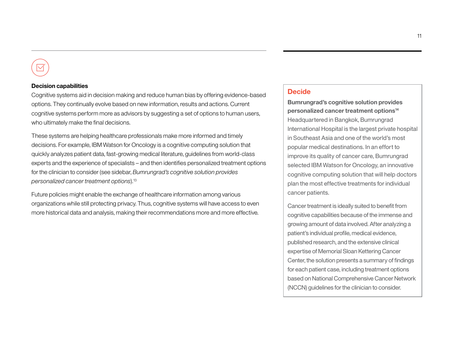#### **Decision capabilities**

Cognitive systems aid in decision making and reduce human bias by offering evidence-based options. They continually evolve based on new information, results and actions. Current cognitive systems perform more as advisors by suggesting a set of options to human users, who ultimately make the final decisions.

These systems are helping healthcare professionals make more informed and timely decisions. For example, IBM Watson for Oncology is a cognitive computing solution that quickly analyzes patient data, fast-growing medical literature, guidelines from world-class experts and the experience of specialists – and then identifies personalized treatment options for the clinician to consider (see sidebar, *Bumrungrad's cognitive solution provides personalized cancer treatment options*).13

Future policies might enable the exchange of healthcare information among various organizations while still protecting privacy. Thus, cognitive systems will have access to even more historical data and analysis, making their recommendations more and more effective.

#### **Decide**

**Bumrungrad's cognitive solution provides personalized cancer treatment options14** Headquartered in Bangkok, Bumrungrad International Hospital is the largest private hospital in Southeast Asia and one of the world's most popular medical destinations. In an effort to improve its quality of cancer care, Bumrungrad selected IBM Watson for Oncology, an innovative cognitive computing solution that will help doctors plan the most effective treatments for individual cancer patients.

Cancer treatment is ideally suited to benefit from cognitive capabilities because of the immense and growing amount of data involved. After analyzing a patient's individual profile, medical evidence, published research, and the extensive clinical expertise of Memorial Sloan Kettering Cancer Center, the solution presents a summary of findings for each patient case, including treatment options based on National Comprehensive Cancer Network (NCCN) guidelines for the clinician to consider.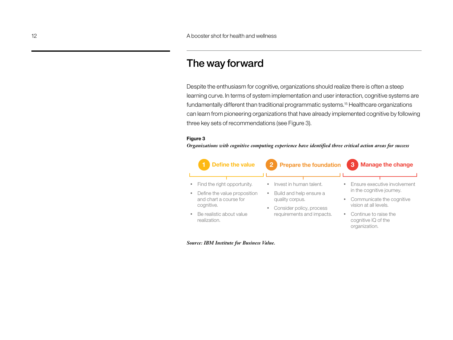### The way forward

Despite the enthusiasm for cognitive, organizations should realize there is often a steep learning curve. In terms of system implementation and user interaction, cognitive systems are fundamentally different than traditional programmatic systems.15 Healthcare organizations can learn from pioneering organizations that have already implemented cognitive by following three key sets of recommendations (see Figure 3).

#### **Figure 3**

*Organizations with cognitive computing experience have identified three critical action areas for success*



*Source: IBM Institute for Business Value.*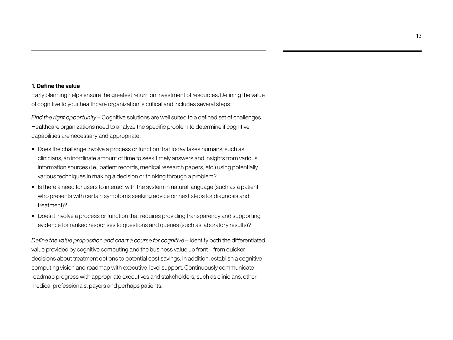#### **1. Define the value**

Early planning helps ensure the greatest return on investment of resources. Defining the value of cognitive to your healthcare organization is critical and includes several steps:

*Find the right opportunity* – Cognitive solutions are well suited to a defined set of challenges. Healthcare organizations need to analyze the specific problem to determine if cognitive capabilities are necessary and appropriate:

- Does the challenge involve a process or function that today takes humans, such as clinicians, an inordinate amount of time to seek timely answers and insights from various information sources (i.e., patient records, medical research papers, etc.) using potentially various techniques in making a decision or thinking through a problem?
- Is there a need for users to interact with the system in natural language (such as a patient who presents with certain symptoms seeking advice on next steps for diagnosis and treatment)?
- Does it involve a process or function that requires providing transparency and supporting evidence for ranked responses to questions and queries (such as laboratory results)?

*Define the value proposition and chart a course for cognitive –* Identify both the differentiated value provided by cognitive computing and the business value up front – from quicker decisions about treatment options to potential cost savings. In addition, establish a cognitive computing vision and roadmap with executive-level support. Continuously communicate roadmap progress with appropriate executives and stakeholders, such as clinicians, other medical professionals, payers and perhaps patients.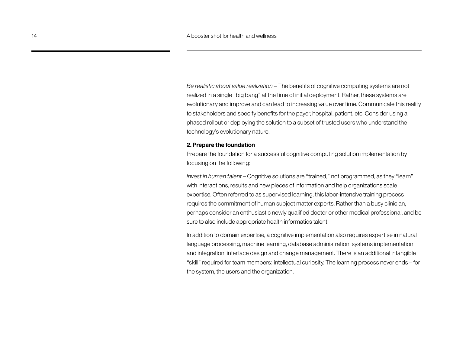*Be realistic about value realization* – The benefits of cognitive computing systems are not realized in a single "big bang" at the time of initial deployment. Rather, these systems are evolutionary and improve and can lead to increasing value over time. Communicate this reality to stakeholders and specify benefits for the payer, hospital, patient, etc. Consider using a phased rollout or deploying the solution to a subset of trusted users who understand the technology's evolutionary nature.

#### **2. Prepare the foundation**

Prepare the foundation for a successful cognitive computing solution implementation by focusing on the following:

*Invest in human talent* – Cognitive solutions are "trained," not programmed, as they "learn" with interactions, results and new pieces of information and help organizations scale expertise. Often referred to as supervised learning, this labor-intensive training process requires the commitment of human subject matter experts. Rather than a busy clinician, perhaps consider an enthusiastic newly qualified doctor or other medical professional, and be sure to also include appropriate health informatics talent.

In addition to domain expertise, a cognitive implementation also requires expertise in natural language processing, machine learning, database administration, systems implementation and integration, interface design and change management. There is an additional intangible "skill" required for team members: intellectual curiosity. The learning process never ends – for the system, the users and the organization.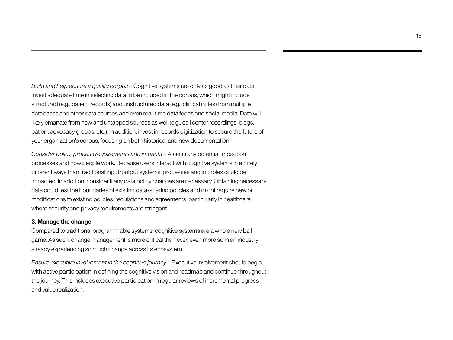*Build and help ensure a quality corpus* – Cognitive systems are only as good as their data. Invest adequate time in selecting data to be included in the corpus, which might include structured (e.g., patient records) and unstructured data (e.g., clinical notes) from multiple databases and other data sources and even real-time data feeds and social media. Data will likely emanate from new and untapped sources as well (e.g., call center recordings, blogs, patient advocacy groups, etc.). In addition, invest in records digitization to secure the future of your organization's corpus, focusing on both historical and new documentation.

*Consider policy, process requirements and impacts* – Assess any potential impact on processes and how people work. Because users interact with cognitive systems in entirely different ways than traditional input/output systems, processes and job roles could be impacted. In addition, consider if any data policy changes are necessary. Obtaining necessary data could test the boundaries of existing data-sharing policies and might require new or modifications to existing policies, regulations and agreements, particularly in healthcare, where security and privacy requirements are stringent.

#### **3. Manage the change**

Compared to traditional programmable systems, cognitive systems are a whole new ball game. As such, change management is more critical than ever, even more so in an industry already experiencing so much change across its ecosystem.

*Ensure executive involvement in the cognitive journey* – Executive involvement should begin with active participation in defining the cognitive vision and roadmap and continue throughout the journey. This includes executive participation in regular reviews of incremental progress and value realization.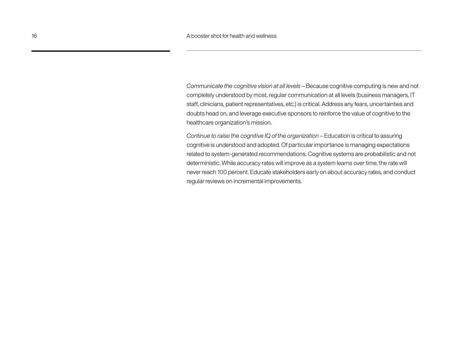*Communicate the cognitive vision at all levels* – Because cognitive computing is new and not completely understood by most, regular communication at all levels (business managers, IT staff, clinicians, patient representatives, etc.) is critical. Address any fears, uncertainties and doubts head on, and leverage executive sponsors to reinforce the value of cognitive to the healthcare organization's mission.

*Continue to raise the cognitive IQ of the organization – Education is critical to assuring* cognitive is understood and adopted. Of particular importance is managing expectations related to system-generated recommendations. Cognitive systems are probabilistic and not deterministic. While accuracy rates will improve as a system learns over time, the rate will never reach 100 percent. Educate stakeholders early on about accuracy rates, and conduct regular reviews on incremental improvements.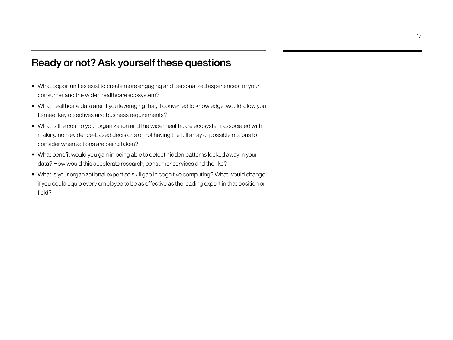## Ready or not? Ask yourself these questions

- What opportunities exist to create more engaging and personalized experiences for your consumer and the wider healthcare ecosystem?
- What healthcare data aren't you leveraging that, if converted to knowledge, would allow you to meet key objectives and business requirements?
- What is the cost to your organization and the wider healthcare ecosystem associated with making non-evidence-based decisions or not having the full array of possible options to consider when actions are being taken?
- What benefit would you gain in being able to detect hidden patterns locked away in your data? How would this accelerate research, consumer services and the like?
- What is your organizational expertise skill gap in cognitive computing? What would change if you could equip every employee to be as effective as the leading expert in that position or field?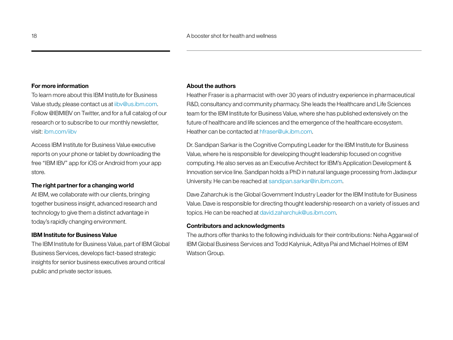#### **For more information**

To learn more about this IBM Institute for Business Value study, please contact us at iibv@us.ibm.com. Follow @IBMIBV on Twitter, and for a full catalog of our research or to subscribe to our monthly newsletter, visit: ibm.com/iibv

Access IBM Institute for Business Value executive reports on your phone or tablet by downloading the free "IBM IBV" app for iOS or Android from your app store.

#### **The right partner for a changing world**

At IBM, we collaborate with our clients, bringing together business insight, advanced research and technology to give them a distinct advantage in today's rapidly changing environment.

#### **IBM Institute for Business Value**

The IBM Institute for Business Value, part of IBM Global Business Services, develops fact-based strategic insights for senior business executives around critical public and private sector issues.

#### **About the authors**

Heather Fraser is a pharmacist with over 30 years of industry experience in pharmaceutical R&D, consultancy and community pharmacy. She leads the Healthcare and Life Sciences team for the IBM Institute for Business Value, where she has published extensively on the future of healthcare and life sciences and the emergence of the healthcare ecosystem. Heather can be contacted at hfraser@uk.ibm.com.

Dr. Sandipan Sarkar is the Cognitive Computing Leader for the IBM Institute for Business Value, where he is responsible for developing thought leadership focused on cognitive computing. He also serves as an Executive Architect for IBM's Application Development & Innovation service line. Sandipan holds a PhD in natural language processing from Jadavpur University. He can be reached at [sandipan.sarkar@in.ibm.com.](mailto:sandipan.sarkar@in.ibm.com)

Dave Zaharchuk is the Global Government Industry Leader for the IBM Institute for Business Value. Dave is responsible for directing thought leadership research on a variety of issues and topics. He can be reached at david.zaharchuk@us.ibm.com.

#### **Contributors and acknowledgments**

The authors offer thanks to the following individuals for their contributions: Neha Aggarwal of IBM Global Business Services and Todd Kalyniuk, Aditya Pai and Michael Holmes of IBM Watson Group.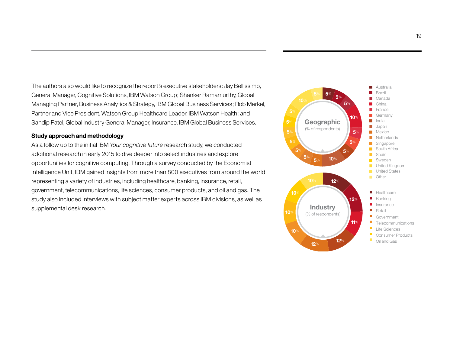The authors also would like to recognize the report's executive stakeholders: Jay Bellissimo, General Manager, Cognitive Solutions, IBM Watson Group; Shanker Ramamurthy, Global Managing Partner, Business Analytics & Strategy, IBM Global Business Services; Rob Merkel, Partner and Vice President, Watson Group Healthcare Leader, IBM Watson Health; and Sandip Patel, Global Industry General Manager, Insurance, IBM Global Business Services.

#### **Study approach and methodology**

As a follow up to the initial IBM *Your cognitive future* research study, we conducted additional research in early 2015 to dive deeper into select industries and explore opportunities for cognitive computing. Through a survey conducted by the Economist Intelligence Unit, IBM gained insights from more than 800 executives from around the world representing a variety of industries, including healthcare, banking, insurance, retail, government, telecommunications, life sciences, consumer products, and oil and gas. The study also included interviews with subject matter experts across IBM divisions, as well as supplemental desk research.

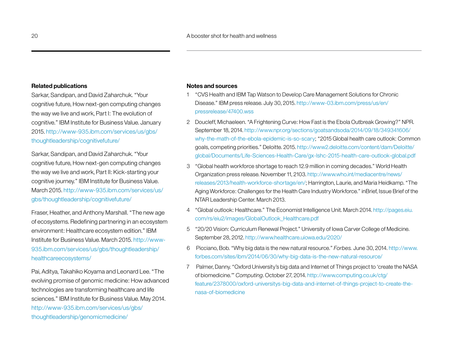#### **Related publications**

Sarkar, Sandipan, and David Zaharchuk. "Your cognitive future, How next-gen computing changes the way we live and work, Part I: The evolution of cognitive." IBM Institute for Business Value. January 2015. [http://www-935.ibm.com/services/us/gbs/](http://www-935.ibm.com/services/us/gbs/thoughtleadership/cognitivefuture/) [thoughtleadership/cognitivefuture/](http://www-935.ibm.com/services/us/gbs/thoughtleadership/cognitivefuture/)

Sarkar, Sandipan, and David Zaharchuk. "Your cognitive future, How next-gen computing changes the way we live and work, Part II: Kick-starting your cognitive journey." IBM Institute for Business Value. March 2015. [http://www-935.ibm.com/services/us/](http://www-935.ibm.com/services/us/gbs/thoughtleadership/cognitivefuture/) [gbs/thoughtleadership/cognitivefuture/](http://www-935.ibm.com/services/us/gbs/thoughtleadership/cognitivefuture/)

Fraser, Heather, and Anthony Marshall. "The new age of ecosystems. Redefining partnering in an ecosystem environment: Healthcare ecosystem edition." IBM Institute for Business Value. March 2015. http://www-935.ibm.com/services/us/gbs/thoughtleadership/ healthcareecosystems/

Pai, Aditya, Takahiko Koyama and Leonard Lee. "The evolving promise of genomic medicine: How advanced technologies are transforming healthcare and life sciences." IBM Institute for Business Value. May 2014. http://www-935.ibm.com/services/us/gbs/ thoughtleadership/genomicmedicine/

#### **Notes and sources**

- 1 "CVS Health and IBM Tap Watson to Develop Care Management Solutions for Chronic Disease." IBM press release. July 30, 2015. http://www-03.ibm.com/press/us/en/ pressrelease/47400.wss
- 2 Doucleff, Michaeleen. "A Frightening Curve: How Fast is the Ebola Outbreak Growing?" NPR. September 18, 2014. [http://www.npr.org/sections/goatsandsoda/2014/09/18/349341606/](http://www.npr.org/sections/goatsandsoda/2014/09/18/349341606/why-the-math-of-the-ebola-epidemic-is-so-scary) [why-the-math-of-the-ebola-epidemic-is-so-scary](http://www.npr.org/sections/goatsandsoda/2014/09/18/349341606/why-the-math-of-the-ebola-epidemic-is-so-scary); "2015 Global health care outlook: Common goals, competing priorities." Deloitte. 2015. http://www2.deloitte.com/content/dam/Deloitte/ global/Documents/Life-Sciences-Health-Care/gx-lshc-2015-health-care-outlook-global.pdf
- 3 "Global health workforce shortage to reach 12.9 million in coming decades." World Health Organization press release. November 11, 2103. [http://www.who.int/mediacentre/news/](http://www.who.int/mediacentre/news/releases/2013/health-workforce-shortage/en/) [releases/2013/health-workforce-shortage/en/](http://www.who.int/mediacentre/news/releases/2013/health-workforce-shortage/en/); Harrington, Laurie, and Maria Heidkamp. "The Aging Workforce: Challenges for the Health Care Industry Workforce." inBrief, Issue Brief of the NTAR Leadership Center. March 2013.
- 4 "Global outlook: Healthcare." The Economist Intelligence Unit. March 2014. http://pages.eiu. com/rs/eiu2/images/GlobalOutlook\_Healthcare.pdf
- 5 "20/20 Vision: Curriculum Renewal Project." University of Iowa Carver College of Medicine. September 28, 2012. http://www.healthcare.uiowa.edu/2020/
- 6 Picciano, Bob. "Why big data is the new natural resource." *Forbes.* June 30, 2014. http://www. forbes.com/sites/ibm/2014/06/30/why-big-data-is-the-new-natural-resource/
- 7 Palmer, Danny. "Oxford University's big data and Internet of Things project to 'create the NASA of biomedicine.'" *Computing*. October 27, 2014. http://www.computing.co.uk/ctg/ feature/2378000/oxford-universitys-big-data-and-internet-of-things-project-to-create-thenasa-of-biomedicine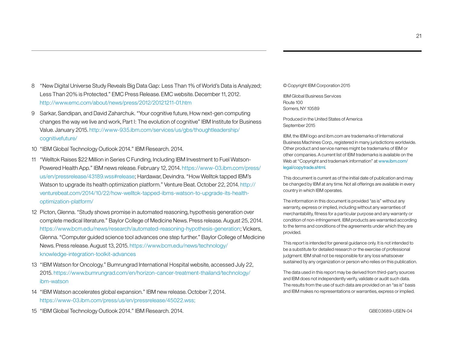- 8 "New Digital Universe Study Reveals Big Data Gap: Less Than 1% of World's Data is Analyzed; Less Than 20% is Protected." EMC Press Release. EMC website. December 11, 2012. http://www.emc.com/about/news/press/2012/20121211-01.htm
- 9 Sarkar, Sandipan, and David Zaharchuk. "Your cognitive future, How next-gen computing changes the way we live and work, Part I: The evolution of cognitive" IBM Institute for Business Value. January 2015. [http://www-935.ibm.com/services/us/gbs/thoughtleadership/](http://www-935.ibm.com/services/us/gbs/thoughtleadership/cognitivefuture/) [cognitivefuture/](http://www-935.ibm.com/services/us/gbs/thoughtleadership/cognitivefuture/)
- 10 "IBM Global Technology Outlook 2014." IBM Research. 2014.
- 11 "Welltok Raises \$22 Million in Series C Funding, Including IBM Investment to Fuel Watson-Powered Health App." IBM news release. February 12, 2014. [https://www-03.ibm.com/press/](https://www-03.ibm.com/press/us/en/pressrelease/43189.wss#release) [us/en/pressrelease/43189.wss#release;](https://www-03.ibm.com/press/us/en/pressrelease/43189.wss#release) Hardawar, Devindra. "How Welltok tapped IBM's Watson to upgrade its health optimization platform." Venture Beat. October 22, 2014. http:// venturebeat.com/2014/10/22/how-welltok-tapped-ibms-watson-to-upgrade-its-healthoptimization-platform/
- 12 Picton, Glenna. "Study shows promise in automated reasoning, hypothesis generation over complete medical literature." Baylor College of Medicine News. Press release. August 25, 2014. https://www.bcm.edu/news/research/automated-reasoning-hypothesis-generation; Vickers, Glenna. "Computer guided science tool advances one step further." Baylor College of Medicine News. Press release. August 13, 2015. https://www.bcm.edu/news/technology/ knowledge-integration-toolkit-advances
- 13 "IBM Watson for Oncology." Bumrungrad International Hospital website, accessed July 22, 2015. https://www.bumrungrad.com/en/horizon-cancer-treatment-thailand/technology/ ibm-watson
- 14 "IBM Watson accelerates global expansion." IBM new release. October 7, 2014. <https://www-03.ibm.com/press/us/en/pressrelease/45022.wss>;

15 "IBM Global Technology Outlook 2014." IBM Research. 2014.

© Copyright IBM Corporation 2015

IBM Global Business Services Route 100 Somers, NY 10589

Produced in the United States of America September 2015

IBM, the IBM logo and ibm.com are trademarks of International Business Machines Corp., registered in many jurisdictions worldwide. Other product and service names might be trademarks of IBM or other companies. A current list of IBM trademarks is available on the Web at "Copyright and trademark information" at www.ibm.com/ legal/copytrade.shtml.

This document is current as of the initial date of publication and may be changed by IBM at any time. Not all offerings are available in every country in which IBM operates.

The information in this document is provided "as is" without any warranty, express or implied, including without any warranties of merchantability, fitness for a particular purpose and any warranty or condition of non-infringement. IBM products are warranted according to the terms and conditions of the agreements under which they are provided.

This report is intended for general guidance only. It is not intended to be a substitute for detailed research or the exercise of professional judgment. IBM shall not be responsible for any loss whatsoever sustained by any organization or person who relies on this publication.

The data used in this report may be derived from third-party sources and IBM does not independently verify, validate or audit such data. The results from the use of such data are provided on an "as is" basis and IBM makes no representations or warranties, express or implied.